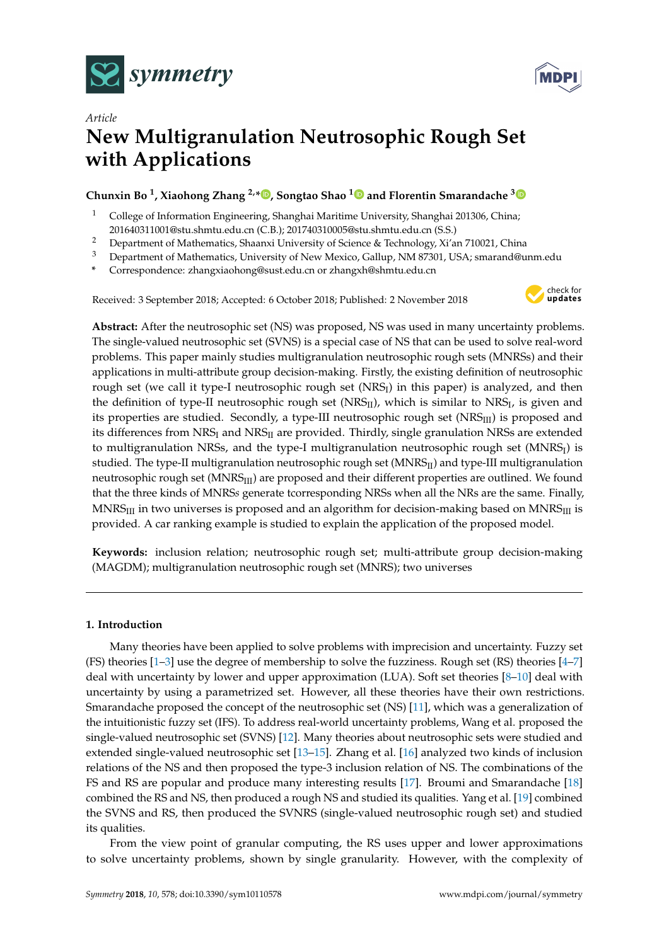



# *Article* **New Multigranulation Neutrosophic Rough Set with Applications**

## **Chunxin Bo <sup>1</sup> , Xiaohong Zhang 2,\* [,](https://orcid.org/0000-0003-2320-0884) Songtao Shao [1](https://orcid.org/0000-0002-6981-4198) and Florentin Smarandache [3](https://orcid.org/0000-0002-5560-5926)**

- <sup>1</sup> College of Information Engineering, Shanghai Maritime University, Shanghai 201306, China; 201640311001@stu.shmtu.edu.cn (C.B.); 201740310005@stu.shmtu.edu.cn (S.S.)
- <sup>2</sup> Department of Mathematics, Shaanxi University of Science & Technology, Xi'an 710021, China
- <sup>3</sup> Department of Mathematics, University of New Mexico, Gallup, NM 87301, USA; smarand@unm.edu
- **\*** Correspondence: zhangxiaohong@sust.edu.cn or zhangxh@shmtu.edu.cn

Received: 3 September 2018; Accepted: 6 October 2018; Published: 2 November 2018



**Abstract:** After the neutrosophic set (NS) was proposed, NS was used in many uncertainty problems. The single-valued neutrosophic set (SVNS) is a special case of NS that can be used to solve real-word problems. This paper mainly studies multigranulation neutrosophic rough sets (MNRSs) and their applications in multi-attribute group decision-making. Firstly, the existing definition of neutrosophic rough set (we call it type-I neutrosophic rough set (NRS $_{\rm I}$ ) in this paper) is analyzed, and then the definition of type-II neutrosophic rough set (NRS $_{\rm II}$ ), which is similar to NRS $_{\rm I}$ , is given and its properties are studied. Secondly, a type-III neutrosophic rough set  $(NRS_{III})$  is proposed and its differences from  $NRS_I$  and  $NRS_{II}$  are provided. Thirdly, single granulation NRSs are extended to multigranulation NRSs, and the type-I multigranulation neutrosophic rough set (MNRS<sub>I</sub>) is studied. The type-II multigranulation neutrosophic rough set (MNRS<sub>II</sub>) and type-III multigranulation neutrosophic rough set (MNRS<sub>III</sub>) are proposed and their different properties are outlined. We found that the three kinds of MNRS*s* generate tcorresponding NRSs when all the NRs are the same. Finally,  $MNRS<sub>III</sub>$  in two universes is proposed and an algorithm for decision-making based on  $MNRS<sub>III</sub>$  is provided. A car ranking example is studied to explain the application of the proposed model.

**Keywords:** inclusion relation; neutrosophic rough set; multi-attribute group decision-making (MAGDM); multigranulation neutrosophic rough set (MNRS); two universes

## **1. Introduction**

Many theories have been applied to solve problems with imprecision and uncertainty. Fuzzy set (FS) theories [\[1–](#page-12-0)[3\]](#page-12-1) use the degree of membership to solve the fuzziness. Rough set (RS) theories [\[4](#page-12-2)[–7\]](#page-12-3) deal with uncertainty by lower and upper approximation (LUA). Soft set theories [\[8](#page-12-4)[–10\]](#page-12-5) deal with uncertainty by using a parametrized set. However, all these theories have their own restrictions. Smarandache proposed the concept of the neutrosophic set (NS) [\[11\]](#page-12-6), which was a generalization of the intuitionistic fuzzy set (IFS). To address real-world uncertainty problems, Wang et al. proposed the single-valued neutrosophic set (SVNS) [\[12\]](#page-13-0). Many theories about neutrosophic sets were studied and extended single-valued neutrosophic set [\[13–](#page-13-1)[15\]](#page-13-2). Zhang et al. [\[16\]](#page-13-3) analyzed two kinds of inclusion relations of the NS and then proposed the type-3 inclusion relation of NS. The combinations of the FS and RS are popular and produce many interesting results [\[17\]](#page-13-4). Broumi and Smarandache [\[18\]](#page-13-5) combined the RS and NS, then produced a rough NS and studied its qualities. Yang et al. [\[19\]](#page-13-6) combined the SVNS and RS, then produced the SVNRS (single-valued neutrosophic rough set) and studied its qualities.

From the view point of granular computing, the RS uses upper and lower approximations to solve uncertainty problems, shown by single granularity. However, with the complexity of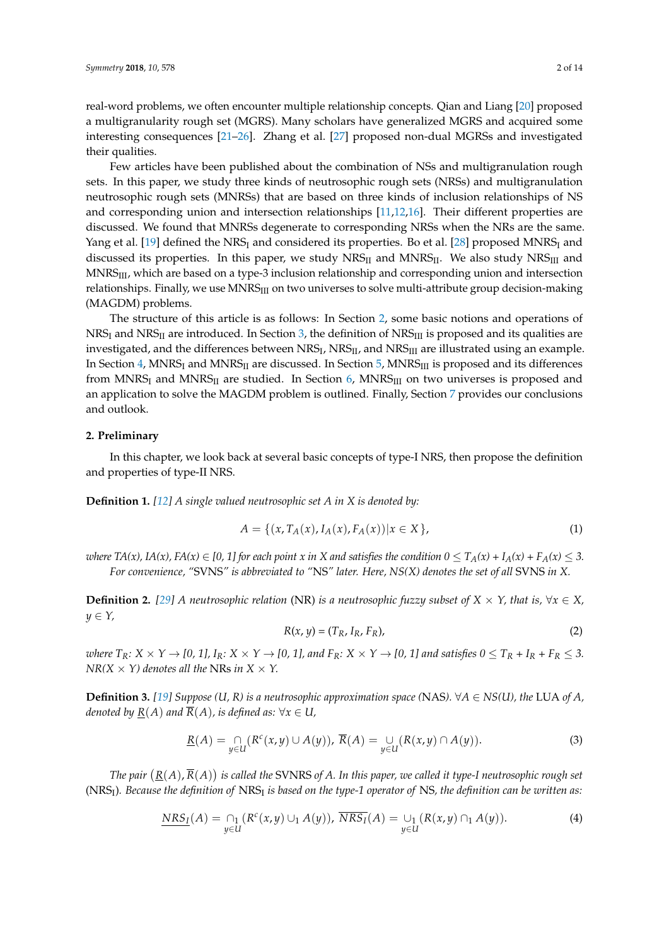real-word problems, we often encounter multiple relationship concepts. Qian and Liang [\[20\]](#page-13-7) proposed a multigranularity rough set (MGRS). Many scholars have generalized MGRS and acquired some interesting consequences [\[21–](#page-13-8)[26\]](#page-13-9). Zhang et al. [\[27\]](#page-13-10) proposed non-dual MGRSs and investigated their qualities.

Few articles have been published about the combination of NSs and multigranulation rough sets. In this paper, we study three kinds of neutrosophic rough sets (NRSs) and multigranulation neutrosophic rough sets (MNRSs) that are based on three kinds of inclusion relationships of NS and corresponding union and intersection relationships [\[11](#page-12-6)[,12](#page-13-0)[,16\]](#page-13-3). Their different properties are discussed. We found that MNRSs degenerate to corresponding NRSs when the NRs are the same. Yang et al. [\[19\]](#page-13-6) defined the NRS<sub>I</sub> and considered its properties. Bo et al. [\[28\]](#page-13-11) proposed MNRS<sub>I</sub> and discussed its properties. In this paper, we study  $NRS_{II}$  and  $MNS_{II}$ . We also study  $NRS_{III}$  and MNRS<sub>III</sub>, which are based on a type-3 inclusion relationship and corresponding union and intersection relationships. Finally, we use MNRS<sub>III</sub> on two universes to solve multi-attribute group decision-making (MAGDM) problems.

The structure of this article is as follows: In Section [2,](#page-1-0) some basic notions and operations of NRS<sub>I</sub> and NRS<sub>II</sub> are introduced. In Section [3,](#page-2-0) the definition of NRS<sub>III</sub> is proposed and its qualities are investigated, and the differences between NRS<sub>I</sub>, NRS<sub>II</sub>, and NRS<sub>III</sub> are illustrated using an example. In Section [4,](#page-4-0) MNRS<sub>I</sub> and MNRS<sub>II</sub> are discussed. In Section [5,](#page-6-0) MNRS<sub>III</sub> is proposed and its differences from MNRS<sub>I</sub> and MNRS<sub>II</sub> are studied. In Section [6,](#page-9-0) MNRS<sub>III</sub> on two universes is proposed and an application to solve the MAGDM problem is outlined. Finally, Section [7](#page-12-7) provides our conclusions and outlook.

#### <span id="page-1-0"></span>**2. Preliminary**

In this chapter, we look back at several basic concepts of type-I NRS, then propose the definition and properties of type-II NRS.

**Definition 1.** *[\[12\]](#page-13-0) A single valued neutrosophic set A in X is denoted by:*

$$
A = \{ (x, T_A(x), I_A(x), F_A(x)) | x \in X \},
$$
\n(1)

*where*  $TA(x)$ ,  $IA(x)$ ,  $FA(x) \in [0, 1]$  for each point x in X and satisfies the condition  $0 \le T_A(x) + I_A(x) + F_A(x) \le 3$ . *For convenience, "*SVNS*" is abbreviated to "*NS*" later. Here, NS(X) denotes the set of all* SVNS *in X.*

**Definition 2.** [\[29\]](#page-13-12) A neutrosophic relation (NR) is a neutrosophic fuzzy subset of  $X \times Y$ , that is,  $\forall x \in X$ , *y* ∈ *Y,*

$$
R(x, y) = (T_R, I_R, F_R),
$$
\n<sup>(2)</sup>

where  $T_R: X \times Y \to [0, 1], I_R: X \times Y \to [0, 1],$  and  $F_R: X \times Y \to [0, 1]$  and satisfies  $0 \le T_R + I_R + F_R \le 3$ . *NR(X*  $\times$  *Y) denotes all the NRs in X*  $\times$  *Y.* 

**Definition 3.** [\[19\]](#page-13-6) Suppose (U, R) is a neutrosophic approximation space (NAS).  $\forall A \in NS(U)$ , the LUA of A, *denoted by*  $\underline{R}(A)$  *and*  $\overline{R}(A)$ *, is defined as:*  $\forall x \in U$ *,* 

$$
\underline{R}(A) = \bigcap_{y \in U} (R^c(x, y) \cup A(y)), \ \overline{R}(A) = \bigcup_{y \in U} (R(x, y) \cap A(y)). \tag{3}
$$

The pair  $(\underline{R}(A),\overline{R}(A))$  is called the SVNRS of A. In this paper, we called it type-I neutrosophic rough set (NRS<sup>I</sup> )*. Because the definition of* NRS<sup>I</sup> *is based on the type-1 operator of* NS*, the definition can be written as:*

$$
\underline{NRS_I}(A) = \bigcap_{y \in U} (R^c(x, y) \cup_1 A(y)), \ \overline{NRS_I}(A) = \bigcup_{y \in U} (R(x, y) \cap_1 A(y)).
$$
 (4)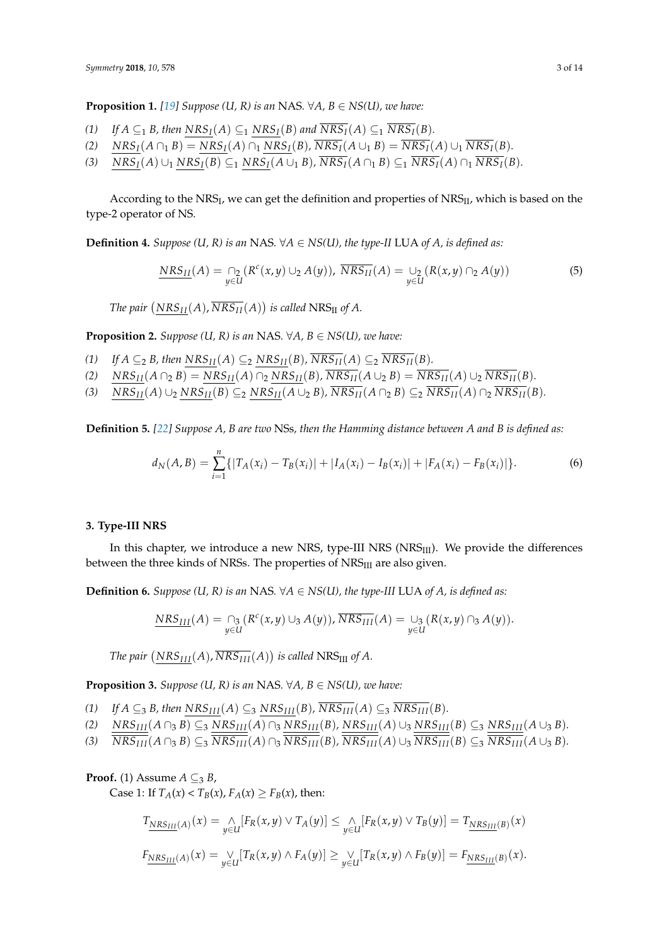**Proposition 1.** [\[19\]](#page-13-6) Suppose (U, R) is an NAS.  $\forall A, B \in NS(U)$ , we have:

- (1) *If*  $A \subseteq_1 B$ , then  $NRS_I(A) \subseteq_1 NRS_I(B)$  and  $\overline{NRS_I}(A) \subseteq_1 \overline{NRS_I}(B)$ .
- (2)  $NRS_I(A \cap_1 B) = NRS_I(A) \cap_1 NRS_I(B)$ ,  $\overline{NRS_I}(A \cup_1 B) = \overline{NRS_I}(A) \cup_1 \overline{NRS_I}(B)$ .
- (3)  $NRS_I(A) \cup_1 NRS_I(B) \subseteq_1 NRS_I(A \cup_1 B)$ ,  $\overline{NRS_I}(A \cap_1 B) \subseteq_1 \overline{NRS_I}(A) \cap_1 \overline{NRS_I}(B)$ .

According to the NRS<sub>I</sub>, we can get the definition and properties of NRS<sub>II</sub>, which is based on the type-2 operator of NS.

**Definition 4.** *Suppose* (*U, R*) *is an* NAS.  $\forall A \in NS(U)$ , *the type-II* LUA *of A, is defined as:* 

$$
\underline{NRS_{II}}(A) = \bigcap_{y \in U} (R^c(x, y) \cup_2 A(y)), \ \overline{NRS_{II}}(A) = \bigcup_{y \in U} (R(x, y) \cap_2 A(y))
$$
(5)

The pair  $(NRS_{II}(A), \overline{NRS_{II}}(A))$  is called  $NRS_{II}$  of A.

**Proposition 2.** *Suppose* (*U, R*) *is an* NAS.  $\forall A, B \in NS(U)$ *, we have:* 

- (1) *If*  $A \subseteq_2 B$ , then  $NRS_{II}(A) \subseteq_2 NRS_{II}(B)$ ,  $\overline{NRS_{II}}(A) \subseteq_2 \overline{NRS_{II}}(B)$ .
- (2)  $NRS_{II}(A \cap_2 B) = NRS_{II}(A) \cap_2 NRS_{II}(B)$ ,  $\overline{NRS_{II}}(A \cup_2 B) = \overline{NRS_{II}}(A) \cup_2 \overline{NRS_{II}}(B)$ .
- (3)  $NRS_{II}(A) \cup_2 NRS_{II}(B) \subseteq_2 NRS_{II}(A \cup_2 B)$ ,  $\overline{NRS_{II}}(A \cap_2 B) \subseteq_2 \overline{NRS_{II}}(A) \cap_2 \overline{NRS_{II}}(B)$ .

**Definition 5.** *[\[22\]](#page-13-13) Suppose A, B are two* NSs*, then the Hamming distance between A and B is defined as:*

$$
d_N(A,B) = \sum_{i=1}^n \{ |T_A(x_i) - T_B(x_i)| + |I_A(x_i) - I_B(x_i)| + |F_A(x_i) - F_B(x_i)| \}.
$$
 (6)

#### <span id="page-2-0"></span>**3. Type-III NRS**

In this chapter, we introduce a new NRS, type-III NRS (NRS<sub>III</sub>). We provide the differences between the three kinds of NRSs. The properties of  $NRS<sub>III</sub>$  are also given.

**Definition 6.** *Suppose* (*U, R*) is an NAS.  $\forall A \in NS(U)$ , the type-III LUA of A, is defined as:

$$
\underline{NRS_{III}}(A) = \bigcap_{y \in U} (R^c(x, y) \cup_3 A(y)), \overline{NRS_{III}}(A) = \bigcup_{y \in U} (R(x, y) \cap_3 A(y)).
$$

The pair  $(NRS_{III}(A), \overline{NRS_{III}}(A))$  is called  $NRS_{III}$  of A.

**Proposition 3.** *Suppose* (*U, R*) *is an* NAS.  $\forall A, B \in NS(U)$ *, we have:* 

- (1) *If*  $A \subseteq 3$  *B, then*  $NRS_{III}(A) \subseteq 3$   $NRS_{III}(B)$ ,  $\overline{NRS_{III}}(A) \subseteq 3$   $\overline{NRS_{III}}(B)$ .
- (2)  $NRS_{III}(A \cap_3 B) \subseteq_3 NRS_{III}(A) \cap_3 NRS_{III}(B)$ ,  $NRS_{III}(A) \cup_3 NRS_{III}(B) \subseteq_3 NRS_{III}(A \cup_3 B)$ .
- (3)  $\overline{NRS_{III}}(A \cap_3 B) \subseteq_3 \overline{NRS_{III}}(A) \cap_3 \overline{NRS_{III}}(B)$ ,  $\overline{NRS_{III}}(A) \cup_3 \overline{NRS_{III}}(B) \subseteq_3 \overline{NRS_{III}}(A \cup_3 B)$ .

### **Proof.** (1) Assume  $A \subseteq B$ ,

Case 1: If  $T_A(x) < T_B(x)$ ,  $F_A(x) \ge F_B(x)$ , then:

$$
T_{\underline{NRS_{III}}(A)}(x) = \bigwedge_{y \in U} [F_R(x, y) \vee T_A(y)] \leq \bigwedge_{y \in U} [F_R(x, y) \vee T_B(y)] = T_{\underline{NRS_{III}}(B)}(x)
$$
  

$$
F_{\underline{NRS_{III}}(A)}(x) = \bigvee_{y \in U} [T_R(x, y) \wedge F_A(y)] \geq \bigvee_{y \in U} [T_R(x, y) \wedge F_B(y)] = F_{\underline{NRS_{III}}(B)}(x).
$$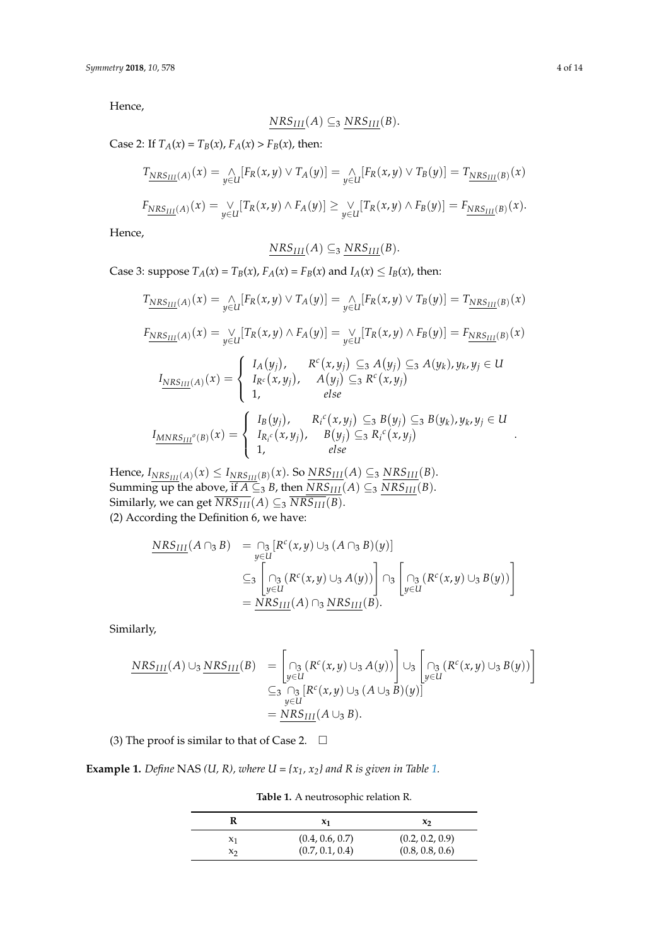Hence,

$$
NRS_{III}(A) \subseteq_3 NRS_{III}(B).
$$

Case 2: If  $T_A(x) = T_B(x)$ ,  $F_A(x) > F_B(x)$ , then:

$$
T_{\underline{NRS_{III}}(A)}(x) = \bigwedge_{y \in U} [F_R(x, y) \vee T_A(y)] = \bigwedge_{y \in U} [F_R(x, y) \vee T_B(y)] = T_{\underline{NRS_{III}}(B)}(x)
$$

$$
F_{\underline{NRS_{III}}(A)}(x) = \bigvee_{y \in U} [T_R(x,y) \wedge F_A(y)] \geq \bigvee_{y \in U} [T_R(x,y) \wedge F_B(y)] = F_{\underline{NRS_{III}}(B)}(x).
$$

Hence,

$$
NRS_{III}(A) \subseteq_3 NRS_{III}(B).
$$

Case 3: suppose  $T_A(x) = T_B(x)$ ,  $F_A(x) = F_B(x)$  and  $I_A(x) \leq I_B(x)$ , then:

$$
T_{\underline{NRS_{III}}(A)}(x) = \bigwedge_{y \in U} [F_R(x, y) \vee T_A(y)] = \bigwedge_{y \in U} [F_R(x, y) \vee T_B(y)] = T_{\underline{NRS_{III}}(B)}(x)
$$
  
\n
$$
F_{\underline{NRS_{III}}(A)}(x) = \bigvee_{y \in U} [T_R(x, y) \wedge F_A(y)] = \bigvee_{y \in U} [T_R(x, y) \wedge F_B(y)] = F_{\underline{NRS_{III}}(B)}(x)
$$
  
\n
$$
I_{\underline{NRS_{III}}(A)}(x) = \begin{cases} I_A(y_j), & R^c(x, y_j) \subseteq_3 A(y_j) \subseteq_3 A(y_k), y_k, y_j \in U \\ I_R^c(x, y_j), & A(y_j) \subseteq_3 R^c(x, y_j) \\ 1, & else \end{cases}
$$
  
\n
$$
I_{\underline{MNRS_{III}}^o(B)}(x) = \begin{cases} I_B(y_j), & R_i^c(x, y_j) \subseteq_3 B(y_j) \subseteq_3 B(y_k), y_k, y_j \in U \\ I_{R_i^c}(x, y_j), & B(y_j) \subseteq_3 R_i^c(x, y_j) \\ 1, & else \end{cases}
$$

 $H$ ence,  $I_{NRS_{III}(A)}(x) \leq I_{NRS_{III}(B)}(x)$ . So  $\overline{NRS_{III}}(A) \subseteq_3 \overline{NRS_{III}}(B)$ . Summing up the above, if  $A \subseteq 3$  *B*, then  $\overline{NRS_{III}}(A) \subseteq 3 \overline{NRS_{III}}(B)$ . Similarly, we can get  $\overline{NRS_{III}}(A) \subseteq_3 \overline{NRS_{III}}(B)$ . (2) According the Definition 6, we have:

$$
\frac{NRS_{III}}{\sum_{y \in U} [A \cap B]} = \bigcap_{y \in U} [R^{c}(x, y) \cup_{3} (A \cap B)(y)]
$$
  
\n
$$
\subseteq_{3} \left[ \bigcap_{y \in U} (R^{c}(x, y) \cup_{3} A(y)) \right] \cap_{3} \left[ \bigcap_{y \in U} (R^{c}(x, y) \cup_{3} B(y)) \right]
$$
  
\n
$$
= \frac{NRS_{III}}{NRS_{III}}(A) \cap_{3} \frac{NRS_{III}}{S}
$$

Similarly,

$$
\frac{NRS_{III}(A) \cup_{3} NRS_{III}(B)}{\subseteqq \bigcap_{y \in U} R^{c}(x,y) \cup_{3} A(y)\bigcup_{y \in U} \bigcup_{y \in U} R^{c}(x,y) \cup_{3} B(y)\bigg]} \\
 \subseteqq \bigcap_{y \in U} R^{c}(x,y) \cup_{3} (A \cup_{3} B)(y)\big] \\
 = \frac{NRS_{III}(A \cup_{3} B).
$$

(3) The proof is similar to that of Case 2.  $\Box$ 

<span id="page-3-0"></span>**Example [1.](#page-3-0)** *Define* NAS *(U, R), where*  $U = \{x_1, x_2\}$  *and R is given in Table* 1.

**Table 1.** A neutrosophic relation R.

|                | $x_1$           | $\mathbf{x}$    |  |
|----------------|-----------------|-----------------|--|
| X <sub>1</sub> | (0.4, 0.6, 0.7) | (0.2, 0.2, 0.9) |  |
| X٦             | (0.7, 0.1, 0.4) | (0.8, 0.8, 0.6) |  |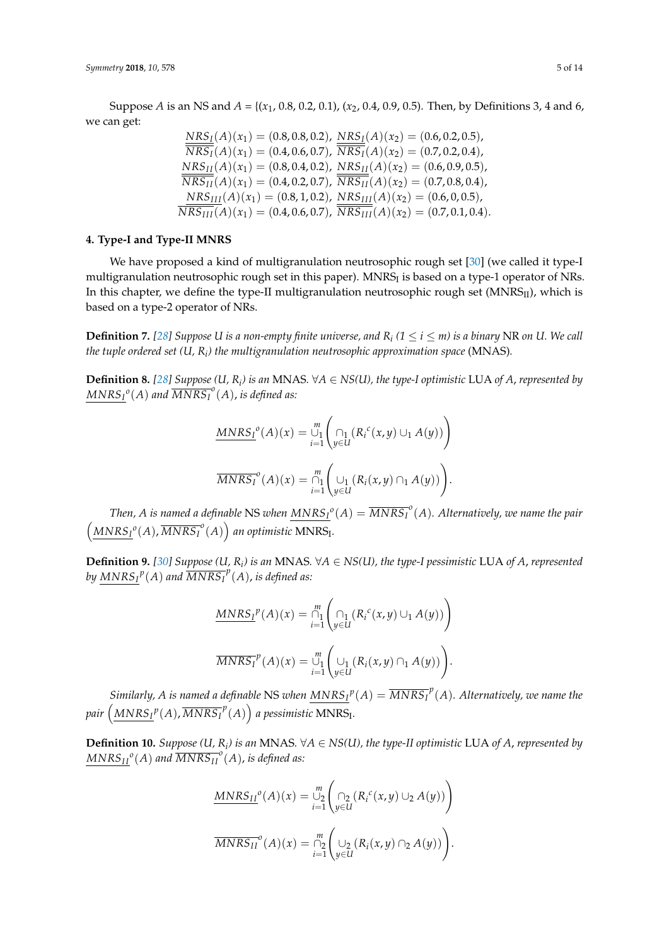Suppose *A* is an NS and *A* = {(*x*1, 0.8, 0.2, 0.1), (*x*2, 0.4, 0.9, 0.5). Then, by Definitions 3, 4 and 6, we can get:

$$
\frac{NRS_I(A)(x_1) = (0.8, 0.8, 0.2), NRS_I(A)(x_2) = (0.6, 0.2, 0.5), \n\overline{NRS_I}(A)(x_1) = (0.4, 0.6, 0.7), \overline{NRS_I}(A)(x_2) = (0.7, 0.2, 0.4), \nNRS_{II}(A)(x_1) = (0.8, 0.4, 0.2), NRS_{II}(A)(x_2) = (0.6, 0.9, 0.5), \n\overline{NRS_{II}}(A)(x_1) = (0.4, 0.2, 0.7), \overline{NRS_{II}}(A)(x_2) = (0.7, 0.8, 0.4), \nNRS_{III}(A)(x_1) = (0.8, 1, 0.2), NRS_{III}(A)(x_2) = (0.6, 0, 0.5), \n\overline{NRS_{III}}(A)(x_1) = (0.4, 0.6, 0.7), \overline{NRS_{III}}(A)(x_2) = (0.7, 0.1, 0.4).
$$

## <span id="page-4-0"></span>**4. Type-I and Type-II MNRS**

We have proposed a kind of multigranulation neutrosophic rough set [\[30\]](#page-13-14) (we called it type-I multigranulation neutrosophic rough set in this paper). MNRS $_{\rm I}$  is based on a type-1 operator of NRs. In this chapter, we define the type-II multigranulation neutrosophic rough set  $(MNRS_{II})$ , which is based on a type-2 operator of NRs.

**Definition 7.** [\[28\]](#page-13-11) Suppose U is a non-empty finite universe, and  $R_i$  ( $1 \le i \le m$ ) is a binary NR on U. We call *the tuple ordered set (U, R<sup>i</sup> ) the multigranulation neutrosophic approximation space* (MNAS)*.*

**Definition 8.** [\[28\]](#page-13-11) Suppose (U,  $R_i$ ) is an MNAS. ∀ $A \in NS(U)$ , the type-I optimistic LUA of  $A$ , represented by  $MNRS_I^o(A)$  and  $\overline{MNRS_I}^o(A)$ , is defined as:

$$
\underline{MNRS_I}^o(A)(x) = \bigcup_{i=1}^m \left( \bigcap_{y \in U} \left( R_i^c(x, y) \cup_1 A(y) \right) \right)
$$

$$
\overline{MNRS_I}^o(A)(x) = \bigcap_{i=1}^m \left( \bigcup_{y \in U} \left( R_i(x, y) \cap_1 A(y) \right) \right).
$$

*Then, A is named a definable*  ${\rm NS}$  *when*  $\overline{MNRS_I}^o(A)=\overline{MNRS_I}^o(A).$  *Alternatively, we name the pair*  $\left(\frac{MNRS_I^o(A), \overline{MNRS_I}^o(A)\right)$  an optimistic MNRS<sub>I</sub>.

**Definition 9.** [\[30\]](#page-13-14) Suppose (U,  $R_i$ ) is an MNAS. ∀ $A \in NS(U)$ , the type-I pessimistic LUA of  $A$ , represented by  $\overline{MNRS_I}^p(A)$  and  $\overline{MNRS_I}^p(A)$ , is defined as:

$$
\underline{MNRS_I}^p(A)(x) = \bigcap_{i=1}^m \left( \bigcap_{y \in U} \left( R_i^c(x, y) \cup_1 A(y) \right) \right)
$$

$$
\overline{MNRS_I}^p(A)(x) = \bigcup_{i=1}^m \left( \bigcup_{y \in U} \left( R_i(x, y) \cap_1 A(y) \right) \right).
$$

 $Similarly, A$  is named a definable NS when  $\overline{MNRS_I}^p(A)=\overline{MNRS_I}^p(A).$  Alternatively, we name the pair  $\left(\frac{MNRS_I}{^p(A)}, \overline{MNRS_I}^p(A)\right)$  a pessimistic MNRS<sub>I</sub>.

**Definition 10.** *Suppose* (*U*,  $R$ <sup>*i*</sup>) *is an* MNAS. ∀*A* ∈ *NS*(*U*), the type-II optimistic LUA of *A*, represented by  $MNRS_{II}^o(A)$  and  $\overline{MNRS_{II}}^o(A)$ , is defined as:

$$
\underline{MNRS_{II}}^o(A)(x) = \bigcup_{i=1}^m \left( \bigcap_{y \in U} (R_i^c(x, y) \cup_2 A(y)) \right)
$$

$$
\overline{MNRS_{II}}^o(A)(x) = \bigcap_{i=1}^m \left( \bigcup_{y \in U} (R_i(x, y) \cap_2 A(y)) \right).
$$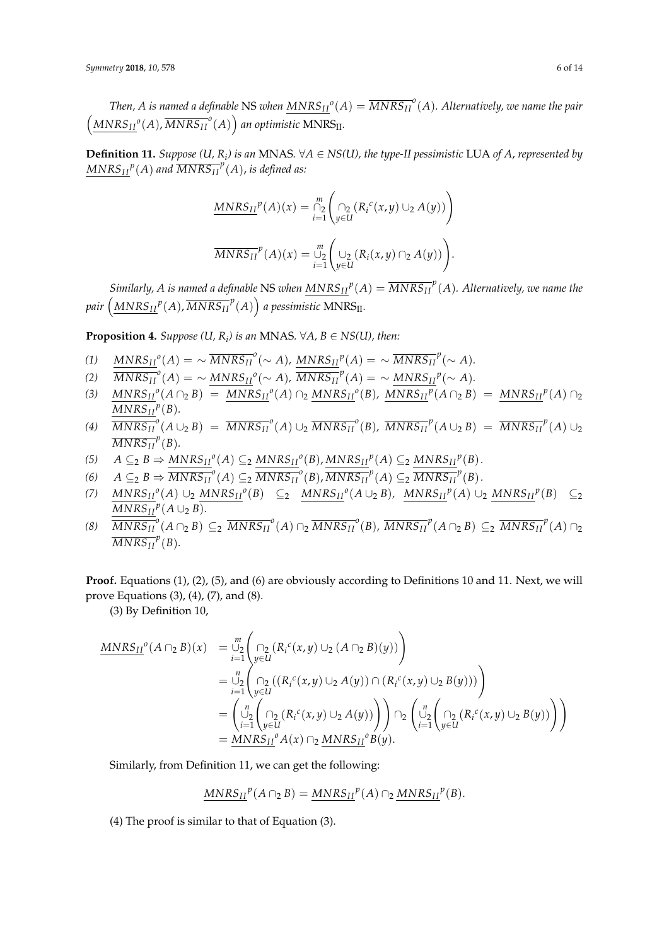Then, A is named a definable NS when  $\overline{MNRS_{II}}^o(A)=\overline{MNRS_{II}}^o(A).$  Alternatively, we name the pair  $\left(\frac{MNRS_{II}^{\ o}(A),\overline{MNRS_{II}}^o(A)\right)$  an optimistic  $MNRS_{II}$ .

**Definition 11.** *Suppose* (*U*,  $R$ <sub>*i*</sub>) is an MNAS. ∀A ∈ NS(*U*), the type-II pessimistic LUA of A, represented by  $MNRS_{II}^p(A)$  and  $\overline{MNRS_{II}}^p(A)$ , is defined as:

$$
\frac{MNRS_{II}^{p}(A)(x) = \bigcap_{i=1}^{m} \left( \bigcap_{y \in U} (R_{i}^{c}(x, y) \cup_{2} A(y)) \right)}{MNRS_{II}^{p}(A)(x) = \bigcup_{i=1}^{m} \left( \bigcup_{y \in U} (R_{i}(x, y) \cap_{2} A(y)) \right)}.
$$

*Similarly, A is named a definable NS when*  $\overline{MNRS_{II}}^p(A) = \overline{MNRS_{II}}^p(A).$  *Alternatively, we name the* pair  $\left(\frac{MNRS_{II}}{P}(A), \overline{MNRS_{II}}^p(A)\right)$  a pessimistic  $MNRS_{II}.$ 

**Proposition 4.** *Suppose*  $(U, R_i)$  *is an* MNAS.  $\forall A, B \in NS(U)$ *, then:* 

- $\frac{MNRS_{II}^o(A)}{MNRS_{II}^o}(\sim A)$ ,  $\frac{MNRS_{II}^p(A)}{MNRS_{II}^p}(\sim A)$ .
- $\overline{MNRS_{II}}^o(A) = \sim \frac{MNRS_{II}}{o}(\sim A), \, \overline{MNRS_{II}}^p(A) = \sim \frac{MNRS_{II}}{o}(\sim A).$
- (3)  $MNRS_{II}^{\ o}(A \cap_2 B) = MNRS_{II}^{\ o}(A) \cap_2 MNRS_{II}^{\ o}(B)$ ,  $MNRS_{II}^{\ p}(A \cap_2 B) = MNRS_{II}^{\ p}(A) \cap_2$  $MNRS_{II}^p(B)$ .
- (4)  $\overline{MNRS_{II}}^o(A\cup_2 B) = \overline{MNRS_{II}}^o(A)\cup_2 \overline{MNRS_{II}}^o(B)$ ,  $\overline{MNRS_{II}}^p(A\cup_2 B) = \overline{MNRS_{II}}^p(A)\cup_2$  $\overline{MNRS_{II}}^p(B)$ .
- $A \subseteq_2 B \Rightarrow \underline{MNRS_{II}}^o(A) \subseteq_2 \underline{MNRS_{II}}^o(B), \underline{MNRS_{II}}^p(A) \subseteq_2 \underline{MNRS_{II}}^p(B).$
- $A \subseteq 2 B \Rightarrow \overline{MNRS_{II}}^o(A) \subseteq 2 \overline{MNRS_{II}}^o(B), \overline{MNRS_{II}}^p(A) \subseteq 2 \overline{MNRS_{II}}^p(B).$
- (7)  $MNRS_{II}^o(A) \cup_2 MNRS_{II}^o(B) \subseteq_2 MNRS_{II}^o(A \cup_2 B)$ ,  $MNRS_{II}^p(A) \cup_2 MNRS_{II}^p(B) \subseteq_2$  $MNRS_{II}^p(A \cup_2 B)$ .
- (8)  $\overline{MNRS_{II}}^o(A \cap_2 B) \subseteq_2 \overline{MNRS_{II}}^o(A) \cap_2 \overline{MNRS_{II}}^o(B)$ ,  $\overline{MNRS_{II}}^p(A \cap_2 B) \subseteq_2 \overline{MNRS_{II}}^p(A) \cap_2$  $\overline{MNRS_{II}}^p(B)$ .

Proof. Equations (1), (2), (5), and (6) are obviously according to Definitions 10 and 11. Next, we will prove Equations (3), (4), (7), and (8).

(3) By Definition 10,

$$
\begin{array}{lll} \underline{MNRS_{II}}^{o}(A \cap_{2} B)(x) & = \bigcup_{i=1}^{m} \left( \bigcap_{y \in U} (R_{i}^{c}(x, y) \cup_{2} (A \cap_{2} B)(y)) \right) \\ & = \bigcup_{i=1}^{n} \left( \bigcap_{y \in U} ((R_{i}^{c}(x, y) \cup_{2} A(y)) \cap (R_{i}^{c}(x, y) \cup_{2} B(y))) \right) \\ & = \left( \bigcup_{i=1}^{n} \left( \bigcap_{y \in U} (R_{i}^{c}(x, y) \cup_{2} A(y)) \right) \right) \cap_{2} \left( \bigcup_{i=1}^{n} \left( \bigcap_{y \in U} (R_{i}^{c}(x, y) \cup_{2} B(y)) \right) \right) \\ & = \underline{MNRS_{II}}^{o} A(x) \cap_{2} \underline{MNRS_{II}}^{o} B(y). \end{array}
$$

Similarly, from Definition 11, we can get the following:

$$
\underline{MNRS_{II}}^p(A \cap_2 B) = \underline{MNRS_{II}}^p(A) \cap_2 \underline{MNRS_{II}}^p(B).
$$

(4) The proof is similar to that of Equation (3).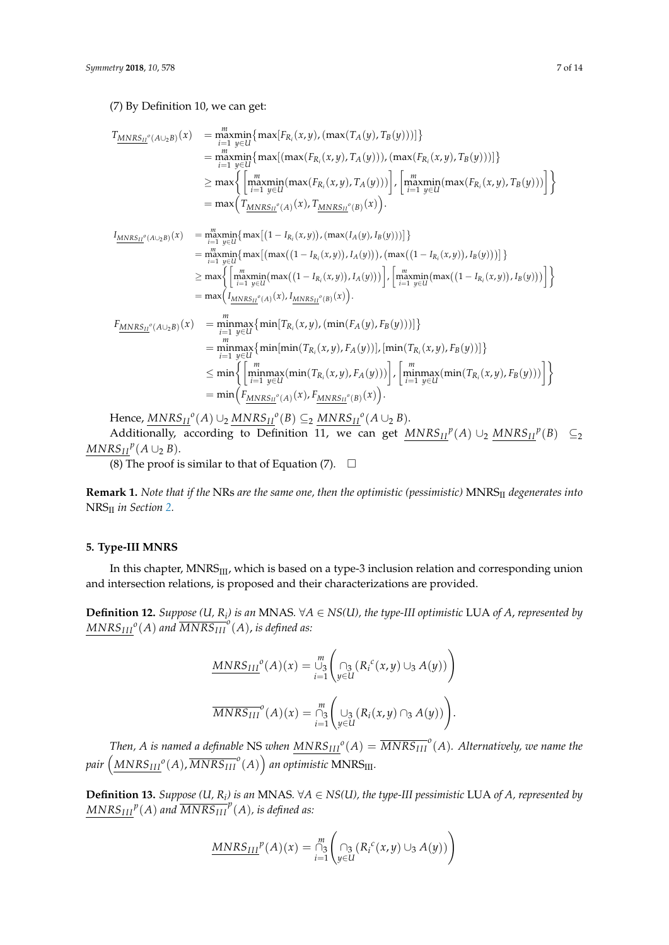#### (7) By Definition 10, we can get:

$$
T_{\underline{MNRS_{II}}^{o}(A\cup_{2}B)}(x) = \underset{i=1 \ y \in U}{\underset{y \in U}{\text{maxmin}}} \{ \underset{y \in U}{\text{max}}[F_{R_{i}}(x,y), (\underset{y \in X}{\text{max}}(T_{A}(y), T_{B}(y)))] \}
$$
\n
$$
= \underset{i=1 \ y \in U}{\underset{y \in U}{\text{maxmin}}} \{ \underset{y \in U}{\text{max}}[ (\underset{i=1 \ y \in U}{\text{max}}(F_{R_{i}}(x,y), T_{A}(y))), (\underset{i=1 \ y \in U}{\text{max}}(F_{R_{i}}(x,y), T_{B}(y)))] \}
$$
\n
$$
\geq \underset{y \in U}{\text{max}} \{ \left[ \underset{i=1 \ y \in U}{\underset{y \in U}{\text{maxmin}}} (\underset{y \in X}{\text{max}}(F_{R_{i}}(x,y), T_{A}(y))) \right], \left[ \underset{i=1 \ y \in U}{\underset{y \in U}{\text{maxmin}}} (\underset{y \in U}{\text{max}}(F_{R_{i}}(x,y), T_{B}(y))) \right] \}
$$

$$
I_{\underline{MNRS_{II}}^o(A\cup_2 B)}(x) = \underset{i=1 \ y \in U}{\underset{y \in U}{\text{maxmin}}} \{ \underset{\text{max}}{\text{max}} \{ (1 - I_{R_i}(x, y)), (\underset{\text{max}}{\text{max}} (I_A(y), I_B(y))) \} \}
$$
\n
$$
= \underset{i=1 \ y \in U}{\underset{y \in U}{\text{maxmin}}} \{ \underset{\text{max}}{\text{max}} \{ (\underset{\text{max}}{\text{max}} ((1 - I_{R_i}(x, y)), I_A(y))), (\underset{\text{max}}{\text{max}} ((1 - I_{R_i}(x, y)), I_B(y))) \} \}
$$
\n
$$
\geq \underset{\text{max}}{\text{max}} \{ \left[ \underset{\text{max}}{\underset{\text{max}}{\text{max}} \text{min}} (\underset{\text{max}}{\text{max}} ((1 - I_{R_i}(x, y)), I_A(y))) \} \right], \left[ \underset{\text{min}}{\underset{\text{max}}{\text{max}} \text{min}} (\underset{\text{max}}{\text{max}} ((1 - I_{R_i}(x, y)), I_B(y))) \} \right]
$$
\n
$$
= \underset{\text{max}}{\text{max}} \{ \underset{\text{min}}{\text{minmax}} \{ \underset{\text{min}}{\text{min}} [T_{R_i}(x, y), (\underset{\text{min}}{\text{min}} (F_A(y), F_B(y)))] \} \}
$$

$$
= \min_{i=1}^{m} \max_{y \in U} {\min[\min(T_{R_i}(x,y), F_A(y))], [\min(T_{R_i}(x,y), F_B(y))]} \leq \min \left\{ \left[ \min_{i=1}^{m} \max_{y \in U} (\min(T_{R_i}(x,y), F_A(y))) \right], \left[ \min_{i=1}^{m} \max_{y \in U} (\min(T_{R_i}(x,y), F_B(y))) \right] \right\} = \min \left( F_{MNRS_{II}}(a)(x), F_{MNRS_{II}}(b)(x) \right).
$$

 $Hence, \underline{MNRS_{II}}^o(A) \cup_2 \underline{MNRS_{II}}^o(B) \subseteq_2 \underline{MNRS_{II}}^o(A \cup_2 B).$ 

Additionally, according to Definition 11, we can get  $MNRS_{II}^p(A) \cup_2 MNRS_{II}^p(B) \subseteq_2$  $MNRS_{II}^p(A \cup_2 B)$ .

(8) The proof is similar to that of Equation (7).  $\Box$ 

**Remark 1.** *Note that if the* NRs *are the same one, then the optimistic (pessimistic)* MNRSII *degenerates into* NRSII *in Section [2.](#page-1-0)*

## <span id="page-6-0"></span>**5. Type-III MNRS**

In this chapter, MNRS<sub>III</sub>, which is based on a type-3 inclusion relation and corresponding union and intersection relations, is proposed and their characterizations are provided.

**Definition 12.** *Suppose* (*U*,  $R$ <sub>*i*</sub>) is an MNAS. ∀A ∈ NS(*U*), the type-III optimistic LUA of A, represented by  $MNRS_{III}^o(A)$  and  $\overline{MNRS_{III}}^o(A)$ , is defined as:

$$
\underline{MNRS_{III}}^o(A)(x) = \bigcup_{i=1}^m \left( \bigcap_{y \in U} \left( R_i^c(x, y) \cup_3 A(y) \right) \right)
$$

$$
\overline{MNRS_{III}}^o(A)(x) = \bigcap_{i=1}^m \left( \bigcup_{y \in U} \left( R_i(x, y) \cap_3 A(y) \right) \right).
$$

*Then, A is named a definable* NS *when*  $MNRS_{III}^o(A) = \overline{MNRS_{III}}^o(A)$ . Alternatively, we name the pair  $\left(\frac{MNRS_{III}}{o}(A), \overline{MNRS_{III}}^{o}(A)\right)$  an optimistic  $MNRS_{III}$ .

**Definition 13.** *Suppose* (*U*,  $R$ <sub>*i*</sub>) is an MNAS. ∀A ∈ NS(*U*), the type-III pessimistic LUA of A, represented by  $MNRS_{III}^p(A)$  and  $\overline{MNRS_{III}}^p(A)$ , is defined as:

$$
\underline{MNRS_{III}}^p(A)(x) = \bigcap_{i=1}^m \left( \bigcap_{y \in U} \left( R_i^c(x, y) \cup_3 A(y) \right) \right)
$$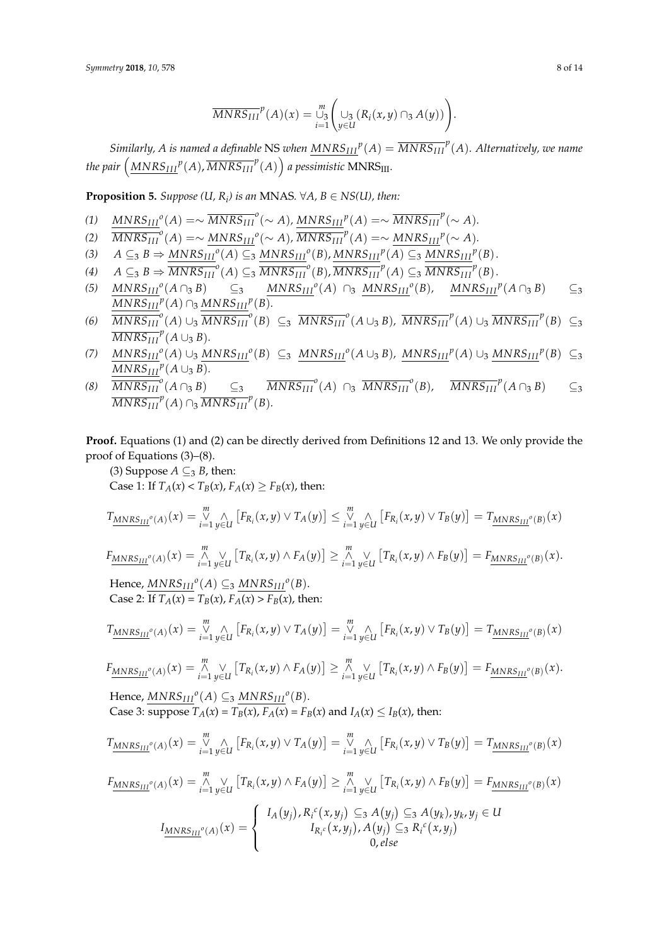$$
\overline{MNRS_{III}}^p(A)(x) = \bigcup_{i=1}^m \left( \bigcup_{y \in U} (R_i(x,y) \cap_3 A(y)) \right).
$$

*Similarly, A is named a definable NS when*  $\overline{MNRS_{III}}^p(A) = \overline{MNRS_{III}}^p(A)$ *. Alternatively, we name* the pair  $\left(\frac{MNRS_{III}}{P(A)},\overline{MNRS_{III}}^{p}(A)\right)$  a pessimistic  $MNRS_{III}.$ 

**Proposition 5.** *Suppose*  $(U, R_i)$  *is an* MNAS.  $\forall A, B \in NS(U)$ , then:

- $\frac{MNRS_{III}}{O}(A) = \sim \frac{MNRS_{III}}{O}(\sim A), \frac{MNRS_{III}}{O}(A) = \sim \frac{MNRS_{III}}{O}(\sim A).$
- $\overline{MNRS_{III}}^o(A) = \sim \frac{MNRS_{III}^o(\sim A)}{MNRS_{III}^p(A)} = \sim \frac{MNRS_{III}^p(\sim A)}{MMS_{III}^p(A)}$
- $A \subseteq_3 B \Rightarrow \underline{MNRS_{III}}^o(A) \subseteq_3 \underline{MNRS_{III}}^o(B), \underline{MNRS_{III}}^p(A) \subseteq_3 \underline{MNRS_{III}}^p(B).$
- $A \subseteq 3 B \Rightarrow \overline{MNRS_{III}}^o(A) \subseteq 3 \overline{MNRS_{III}}^o(B), \overline{MNRS_{III}}^p(A) \subseteq 3 \overline{MNRS_{III}}^p(B).$
- (5)  $MNRS_{III}^o(A \cap_3 B)$   $\subseteq_3$   $MNRS_{III}^o(A) \cap_3 MNRS_{III}^o(B)$ ,  $MNRS_{III}^p(A \cap_3 B)$   $\subseteq_3$  $MNRS_{III}^p(A) \cap_3 MNRS_{III}^p(B)$ .
- (6)  $\overline{MNRS_{III}}^o(A) \cup_3 \overline{MNRS_{III}}^o(B) \subseteq_3 \overline{MNRS_{III}}^o(A \cup_3 B)$ ,  $\overline{MNRS_{III}}^p(A) \cup_3 \overline{MNRS_{III}}^p(B) \subseteq_3$  $\overline{MNRS_{III}}^p(A \cup_3 B)$ *.*
- (7)  $MNRS_{III}^o(A) \cup_3 MNRS_{III}^o(B) \subseteq_3 MNRS_{III}^o(A \cup_3 B)$ ,  $MNRS_{III}^p(A) \cup_3 MNRS_{III}^p(B) \subseteq_3$  $MNRS_{III}^p(A \cup_3 B)$ .
- (8)  $\overline{MNRS_{III}}^o(A \cap_3 B)$   $\subseteq_3$   $\overline{MNRS_{III}}^o(A) \cap_3 \overline{MNRS_{III}}^o(B)$ ,  $\overline{MNRS_{III}}^p(A \cap_3 B)$   $\subseteq_3$  $\overline{MNRS_{III}}^p(A) \cap_3 \overline{MNRS_{III}}^p(B)$ *.*

**Proof.** Equations (1) and (2) can be directly derived from Definitions 12 and 13. We only provide the proof of Equations (3)–(8).

(3) Suppose  $A \subseteq_3 B$ , then: Case 1: If  $T_A(x) < T_B(x)$ ,  $F_A(x) \ge F_B(x)$ , then:

$$
T_{\underline{M N R S_{III}}}^{\alpha}(A)(x) = \bigvee_{i=1}^{m} \bigwedge_{y \in U} \left[ F_{R_i}(x, y) \vee T_A(y) \right] \leq \bigvee_{i=1}^{m} \bigwedge_{y \in U} \left[ F_{R_i}(x, y) \vee T_B(y) \right] = T_{\underline{M N R S_{III}}}^{\alpha}(B)(x)
$$

$$
F_{\underline{MNRS_{III}}^o(A)}(x) = \overset{m}{\underset{i=1}{\wedge}} \vee \left[ T_{R_i}(x,y) \wedge F_A(y) \right] \geq \overset{m}{\underset{i=1}{\wedge}} \vee \left[ T_{R_i}(x,y) \wedge F_B(y) \right] = F_{\underline{MNRS_{III}}^o(B)}(x).
$$

 $Hence, \underline{MNRS_{III}}^o(A) \subseteq_3 \underline{MNRS_{III}}^o(B).$ Case 2: If  $T_A(x) = T_B(x)$ ,  $F_A(x) > F_B(x)$ , then:

*m*

$$
T_{\underline{MNRS_{III}}^o(A)}(x) = \bigvee_{i=1}^m \bigwedge_{y \in U} \big[ F_{R_i}(x,y) \vee T_A(y) \big] = \bigvee_{i=1}^m \bigwedge_{y \in U} \big[ F_{R_i}(x,y) \vee T_B(y) \big] = T_{\underline{MNRS_{III}}^o(B)}(x)
$$

$$
F_{\underline{MNRS_{III}}^o(A)}(x) = \bigwedge_{i=1}^m \bigvee_{y \in U} \big[ T_{R_i}(x,y) \wedge F_A(y) \big] \geq \bigwedge_{i=1}^m \bigvee_{y \in U} \big[ T_{R_i}(x,y) \wedge F_B(y) \big] = F_{\underline{MNRS_{III}}^o(B)}(x).
$$

 $Hence, \underline{MNRS_{III}}^o(A) \subseteq_3 \underline{MNRS_{III}}^o(B).$ Case 3: suppose  $T_A(x) = T_B(x)$ ,  $F_A(x) = F_B(x)$  and  $I_A(x) \leq I_B(x)$ , then:

$$
T_{\underline{MNRS_{III}}^o(A)}(x) = \bigvee_{i=1}^m \bigwedge_{y \in U} \big[ F_{R_i}(x,y) \vee T_A(y) \big] = \bigvee_{i=1}^m \bigwedge_{y \in U} \big[ F_{R_i}(x,y) \vee T_B(y) \big] = T_{\underline{MNRS_{III}}^o(B)}(x)
$$

$$
F_{MNRS_{III}}(A)}(x) = \bigwedge_{i=1}^{m} \bigvee_{y \in U} \left[ T_{R_i}(x,y) \wedge F_A(y) \right] \geq \bigwedge_{i=1}^{m} \bigvee_{y \in U} \left[ T_{R_i}(x,y) \wedge F_B(y) \right] = F_{MNRS_{III}}(B)(x)
$$
\n
$$
I_{MNRS_{III}}(A)(x) = \begin{cases} I_A(y_j), R_i^c(x,y_j) \subseteq_3 A(y_j) \subseteq_3 A(y_k), y_k, y_j \in U \\ I_{R_i^c}(x,y_j), A(y_j) \subseteq_3 R_i^c(x,y_j) \\ 0, else \end{cases}
$$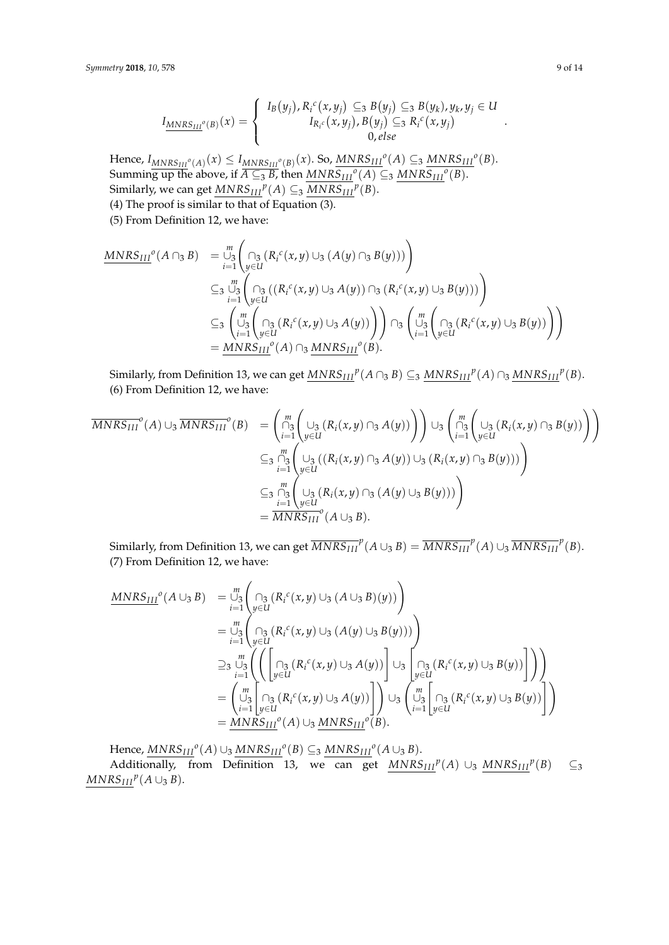$$
I_{\underline{MNRS_{III}}^o(B)}(x) = \begin{cases} I_B(y_j), R_i^c(x, y_j) \subseteq_3 B(y_j) \subseteq_3 B(y_k), y_k, y_j \in U \\ I_{R_i^c}(x, y_j), B(y_j) \subseteq_3 R_i^c(x, y_j) \\ 0, else \end{cases}
$$

Hence,  $I_{MNRS_{III}^o(A)}(x) \leq I_{MNRS_{III}^o(B)}(x)$ . So,  $\overline{MNRS_{III}^o(A)} \subseteq_3 \underline{MNRS_{III}^o(B)}$ . Summing up the above, if  $\overline{A \subseteq 3B}$ , then  $\overline{MNRS_{III}}^o(A) \subseteq 3 \overline{MNRS_{III}}^o(B)$ . Similarly, we can get  $\underline{MNRS_{III}}^p(A) \subseteq_3 \underline{MNRS_{III}}^p(B)$ . (4) The proof is similar to that of Equation (3).

(5) From Definition 12, we have:

$$
\underline{MNRS_{III}}^{o}(A \cap_{3} B) = \bigcup_{i=1}^{m} \left( \bigcap_{y \in U} (R_{i}^{c}(x, y) \cup_{3} (A(y) \cap_{3} B(y))) \right)
$$
\n
$$
\subseteq_{3} \bigcup_{i=1}^{m} \left( \bigcap_{y \in U} (R_{i}^{c}(x, y) \cup_{3} A(y)) \cap_{3} (R_{i}^{c}(x, y) \cup_{3} B(y))) \right)
$$
\n
$$
\subseteq_{3} \left( \bigcup_{j=1}^{m} \left( \bigcap_{y \in U} (R_{i}^{c}(x, y) \cup_{3} A(y)) \right) \right) \cap_{3} \left( \bigcup_{i=1}^{m} \left( \bigcap_{y \in U} (R_{i}^{c}(x, y) \cup_{3} B(y)) \right) \right)
$$
\n
$$
= \underline{MNRS_{III}}^{o}(A) \cap_{3} \underline{MNRS_{III}}^{o}(B).
$$

Similarly, from Definition 13, we can get  $\overline{MNRS_{III}}^p(A \cap_3 B) \subseteq_3 \overline{MNRS_{III}}^p(A) \cap_3 \overline{MNRS_{III}}^p(B)$ . (6) From Definition 12, we have:

$$
\overline{MNRS_{III}}^{o}(A) \cup_{3} \overline{MNRS_{III}}^{o}(B) = \left( \bigcap_{i=1}^{m} \left( \bigcup_{y \in U} (R_{i}(x,y) \cap_{3} A(y)) \right) \right) \cup_{3} \left( \bigcap_{i=1}^{m} \left( \bigcup_{y \in U} (R_{i}(x,y) \cap_{3} B(y)) \right) \right)
$$
  

$$
\subseteq_{3} \bigcap_{i=1}^{m} \left( \bigcup_{y \in U} (R_{i}(x,y) \cap_{3} A(y)) \cup_{3} (R_{i}(x,y) \cap_{3} B(y))) \right)
$$
  

$$
\subseteq_{3} \bigcap_{i=1}^{m} \left( \bigcup_{y \in U} (R_{i}(x,y) \cap_{3} A(y)) \cup_{3} (R_{i}(x,y) \cap_{3} B(y))) \right)
$$
  

$$
= \overline{MNRS_{III}}^{o}(A \cup_{3} B).
$$

Similarly, from Definition 13, we can get  $\overline{MNRS_{III}}^p(A\cup_3 B)=\overline{MNRS_{III}}^p(A)\cup_3 \overline{MNRS_{III}}^p(B).$ (7) From Definition 12, we have:

$$
\begin{array}{lll}\n\text{MNRS}_{III}{}^{o}(A \cup_{3} B) & = \bigcup_{i=1}^{m} \left( \bigcap_{y \in U} \left( R_{i}{}^{c}(x, y) \cup_{3} (A \cup_{3} B)(y) \right) \right) \\
& = \bigcup_{i=1}^{m} \left( \bigcap_{y \in U} \left( R_{i}{}^{c}(x, y) \cup_{3} (A(y) \cup_{3} B(y)) \right) \right) \\
& \geq & \bigcup_{i=1}^{m} \left( \left( \bigcap_{y \in U} \left( R_{i}{}^{c}(x, y) \cup_{3} A(y) \right) \right) \cup_{3} \left( \bigcap_{y \in U} \left( R_{i}{}^{c}(x, y) \cup_{3} B(y) \right) \right) \right) \\
& = \left( \bigcup_{i=1}^{m} \bigcap_{y \in U} \left( R_{i}{}^{c}(x, y) \cup_{3} A(y) \right) \right) \cup_{3} \left( \bigcup_{i=1}^{m} \bigcap_{y \in U} \left( R_{i}{}^{c}(x, y) \cup_{3} B(y) \right) \right) \\
& = \underline{\text{MNRS}_{III}}^{o}(A) \cup_{3} \underline{\text{MNRS}_{III}}^{o}(B).\n\end{array}
$$

 $\text{Hence, } \underline{MNRS_{III}}^o(A) \cup_3 \underline{MNRS_{III}}^o(B) \subseteq_3 \underline{MNRS_{III}}^o(A \cup_3 B).$ 

Additionally, from Definition 13, we can get  $MNRS_{III}^p(A) \cup_3 MNRS_{III}^p(B) \subseteq_3$  $MNRS_{III}^p(A \cup_3 B)$ .

.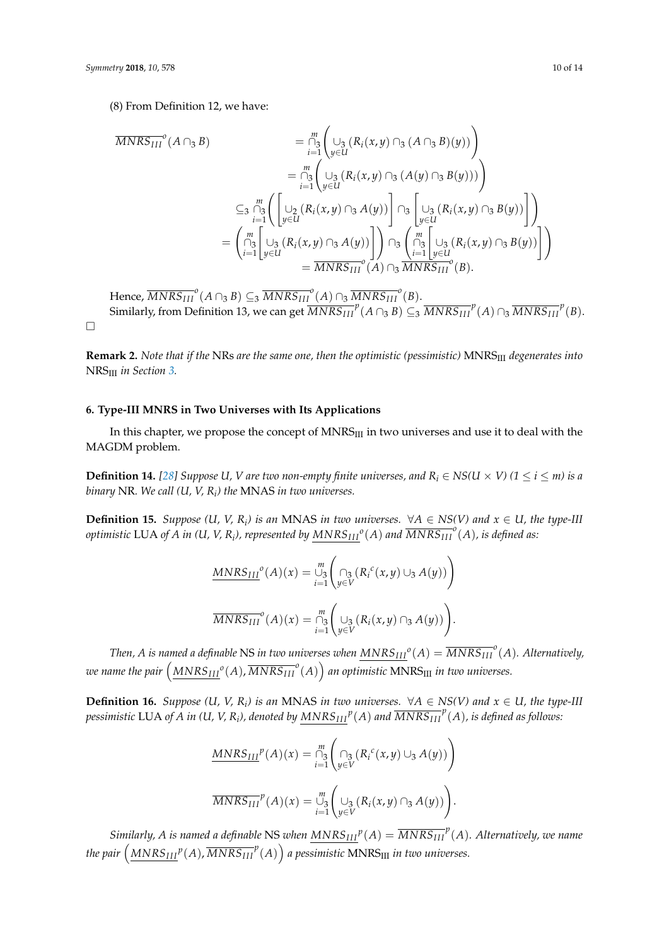$\Box$ 

(8) From Definition 12, we have:

$$
\overline{MNRS_{III}}^{o}(A \cap_{3} B) = \bigcap_{i=1}^{m} \left( \bigcup_{y \in U} (R_{i}(x, y) \cap_{3} (A \cap_{3} B)(y)) \right)
$$
  
\n
$$
= \bigcap_{i=1}^{m} \left( \bigcup_{y \in U} (R_{i}(x, y) \cap_{3} (A(y) \cap_{3} B(y))) \right)
$$
  
\n
$$
\subseteq_{3} \bigcap_{i=1}^{m} \left( \bigcup_{y \in U} (R_{i}(x, y) \cap_{3} A(y)) \bigcap_{3} \left[ \bigcup_{y \in U} (R_{i}(x, y) \cap_{3} B(y)) \right] \right)
$$
  
\n
$$
= \left( \bigcap_{i=1}^{m} \bigcup_{y \in U} (R_{i}(x, y) \cap_{3} A(y)) \bigcap_{3} \left[ \bigcup_{y \in U} (R_{i}(x, y) \cap_{3} B(y)) \right] \right)
$$
  
\n
$$
= \left( \bigcap_{i=1}^{m} \bigcup_{y \in U} (R_{i}(x, y) \cap_{3} A(y)) \bigcap_{3} \bigcap_{i=1}^{m} \bigcup_{y \in U} (R_{i}(x, y) \cap_{3} B(y)) \bigcap_{3} \right)
$$
  
\n
$$
= \overline{MNRS_{III}}^{o}(A) \cap_{3} \overline{MNRS_{III}}^{o}(B).
$$

 $\text{Hence, } \overline{MNRS_{III}}^o(A \cap_3 B) \subseteq_3 \overline{MNRS_{III}}^o(A) \cap_3 \overline{MNRS_{III}}^o(B).$ Similarly, from Definition 13, we can get  $\overline{MNRS_{III}}^p(A \cap_3 B) \subseteq_3 \overline{MNRS_{III}}^p(A) \cap_3 \overline{MNRS_{III}}^p(B)$ .

**Remark 2.** *Note that if the* NRs *are the same one, then the optimistic (pessimistic)* MNRSIII *degenerates into* NRSIII *in Section [3.](#page-2-0)*

### <span id="page-9-0"></span>**6. Type-III MNRS in Two Universes with Its Applications**

In this chapter, we propose the concept of  $MNRS<sub>III</sub>$  in two universes and use it to deal with the MAGDM problem.

**Definition 14.** [\[28\]](#page-13-11) Suppose U, V are two non-empty finite universes, and  $R_i \in NS(U \times V)$  (1  $\leq i \leq m$ ) is a *binary* NR*. We call (U, V, R<sup>i</sup> ) the* MNAS *in two universes.*

**Definition 15.** *Suppose* (*U*, *V*, *R*<sub>*i*</sub>) *is an* MNAS *in two universes.*  $\forall A \in NS(V)$  *and*  $x \in U$ , *the type-III*  $\delta$  *optimistic LUA of A in (U, V, R<sub>i</sub>), represented by*  $\overline{MNRS_{III}}^o(A)$  *and*  $\overline{MNRS_{III}}^o(A)$ *, is defined as:* 

$$
\underline{MNRS_{III}}^o(A)(x) = \bigcup_{i=1}^m \left( \bigcap_{y \in V} (R_i^c(x, y) \cup_3 A(y)) \right)
$$

$$
\overline{MNRS_{III}}^o(A)(x) = \bigcap_{i=1}^m \left( \bigcup_{y \in V} (R_i(x, y) \cap_3 A(y)) \right).
$$

*Then, A is named a definable NS in two universes when*  $MNRS_{III}^o(A) = \overline{MNRS_{III}}^o(A)$ *. Alternatively,* we name the pair  $\left(\frac{MNRS_{III}}{ANNS_{III}}^o(A), \overline{MNRS_{III}}^o(A)\right)$  an optimistic  $MNRS_{III}$  in two universes.

**Definition 16.** *Suppose* (*U*, *V*, *R*<sub>*i*</sub>) *is an* MNAS *in two universes.*  $\forall A \in NS(V)$  *and*  $x \in U$ , *the type-III* pessimistic LUA of A in (U, V, R<sub>i</sub>), denoted by  $\overline{MNRS_{III}}^p(A)$  and  $\overline{MNRS_{III}}^p(A)$ , is defined as follows:

$$
\frac{MNRS_{III}}{MNRS_{III}}(A)(x) = \bigcap_{i=1}^{m} \left( \bigcap_{y \in V} \left( R_i^c(x, y) \cup_3 A(y) \right) \right)
$$

$$
\frac{MNRS_{III}}{MNRS_{III}}(A)(x) = \bigcup_{i=1}^{m} \left( \bigcup_{y \in V} \left( R_i(x, y) \cap_3 A(y) \right) \right).
$$

*Similarly, A is named a definable NS when*  $MNRS_{III}{}^p(A) = \overline{MNRS_{III}}^p(A)$ *. Alternatively, we name* the pair  $\left(\frac{MNRS_{III}}{P(A)},\overline{MNRS_{III}}^{P}(A)\right)$  a pessimistic  $MNRS_{III}$  in two universes.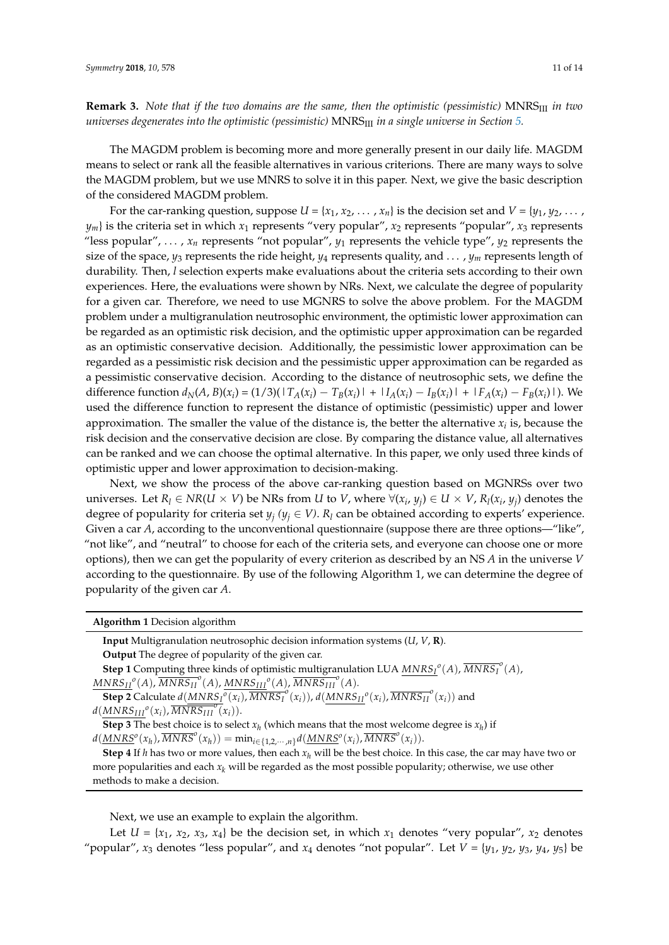**Remark 3.** *Note that if the two domains are the same, then the optimistic (pessimistic)* MNRSIII *in two universes degenerates into the optimistic (pessimistic)* MNRSIII *in a single universe in Section [5.](#page-6-0)*

The MAGDM problem is becoming more and more generally present in our daily life. MAGDM means to select or rank all the feasible alternatives in various criterions. There are many ways to solve the MAGDM problem, but we use MNRS to solve it in this paper. Next, we give the basic description of the considered MAGDM problem.

For the car-ranking question, suppose  $U = \{x_1, x_2, \ldots, x_n\}$  is the decision set and  $V = \{y_1, y_2, \ldots, y_n\}$  $y_m$ } is the criteria set in which  $x_1$  represents "very popular",  $x_2$  represents "popular",  $x_3$  represents "less popular", ...,  $x_n$  represents "not popular",  $y_1$  represents the vehicle type",  $y_2$  represents the size of the space, *y*<sup>3</sup> represents the ride height, *y*<sup>4</sup> represents quality, and . . . , *y<sup>m</sup>* represents length of durability. Then, *l* selection experts make evaluations about the criteria sets according to their own experiences. Here, the evaluations were shown by NRs. Next, we calculate the degree of popularity for a given car. Therefore, we need to use MGNRS to solve the above problem. For the MAGDM problem under a multigranulation neutrosophic environment, the optimistic lower approximation can be regarded as an optimistic risk decision, and the optimistic upper approximation can be regarded as an optimistic conservative decision. Additionally, the pessimistic lower approximation can be regarded as a pessimistic risk decision and the pessimistic upper approximation can be regarded as a pessimistic conservative decision. According to the distance of neutrosophic sets, we define the difference function  $d_N(A, B)(x_i) = (1/3)(1T_A(x_i) - T_B(x_i)) + 1I_A(x_i) - I_B(x_i) + 1F_A(x_i) - F_B(x_i)$ . We used the difference function to represent the distance of optimistic (pessimistic) upper and lower approximation. The smaller the value of the distance is, the better the alternative  $x_i$  is, because the risk decision and the conservative decision are close. By comparing the distance value, all alternatives can be ranked and we can choose the optimal alternative. In this paper, we only used three kinds of optimistic upper and lower approximation to decision-making.

Next, we show the process of the above car-ranking question based on MGNRSs over two universes. Let  $R_l \in NR(U \times V)$  be NRs from U to V, where  $\forall (x_i, y_j) \in U \times V$ ,  $R_l(x_i, y_j)$  denotes the degree of popularity for criteria set  $y_j$  ( $y_j \in V$ ).  $R_l$  can be obtained according to experts' experience. Given a car *A*, according to the unconventional questionnaire (suppose there are three options—"like", "not like", and "neutral" to choose for each of the criteria sets, and everyone can choose one or more options), then we can get the popularity of every criterion as described by an NS *A* in the universe *V* according to the questionnaire. By use of the following Algorithm 1, we can determine the degree of popularity of the given car *A*.

**Algorithm 1** Decision algorithm

| <b>Input</b> Multigranulation neutrosophic decision information systems $(U, V, \mathbf{R})$ .                                              |
|---------------------------------------------------------------------------------------------------------------------------------------------|
| Output The degree of popularity of the given car.                                                                                           |
| <b>Step 1</b> Computing three kinds of optimistic multigranulation LUA $MNRS_I^0(A)$ , $\overline{MNRS_I}^0(A)$ ,                           |
| $MNRS_{II}^{\ o}(A), \overline{MNRS_{II}}^{\ o}(A), MNRS_{III}^{\ o}(A), \overline{MNRS_{III}}^{\ o}(A).$                                   |
| <b>Step 2</b> Calculate $d(MNRS_I^o(x_i), \overline{MNRS_I}^o(x_i))$ , $d(MNRS_{II}^o(x_i), \overline{MNRS_{II}^o}(x_i))$ and               |
| $d(MNRS_{III}^{\,\,\sigma}(x_i),\overline{MNRS_{III}^{\,\,\sigma}(x_i)}).$                                                                  |
| <b>Step 3</b> The best choice is to select $x_h$ (which means that the most welcome degree is $x_h$ ) if                                    |
| $d(\underline{MNRS}^o(x_h), \overline{MNRS}^o(x_h)) = \min_{i \in \{1, 2, \cdots, n\}} d(\underline{MNRS}^o(x_i), \overline{MNRS}^o(x_i)).$ |
| <b>Step 4</b> If h has two or more values, then each $x_h$ will be the best choice. In this case, the car may have                          |

**Step 4** If *h* has two or more values, then each *x<sup>h</sup>* will be the best choice. In this case, the car may have two or more popularities and each  $x_k$  will be regarded as the most possible popularity; otherwise, we use other methods to make a decision.

Next, we use an example to explain the algorithm.

Let  $U = \{x_1, x_2, x_3, x_4\}$  be the decision set, in which  $x_1$  denotes "very popular",  $x_2$  denotes "popular",  $x_3$  denotes "less popular", and  $x_4$  denotes "not popular". Let  $V = \{y_1, y_2, y_3, y_4, y_5\}$  be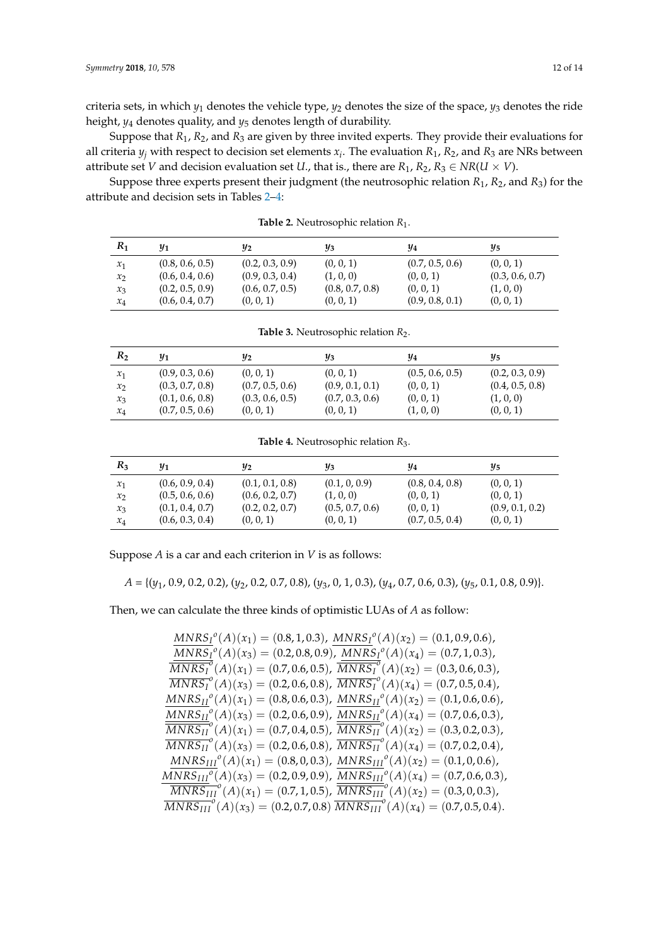criteria sets, in which *y*<sup>1</sup> denotes the vehicle type, *y*<sup>2</sup> denotes the size of the space, *y*<sup>3</sup> denotes the ride height, *y*<sup>4</sup> denotes quality, and *y*<sup>5</sup> denotes length of durability.

Suppose that *R*1, *R*2, and *R*<sup>3</sup> are given by three invited experts. They provide their evaluations for all criteria *y<sup>j</sup>* with respect to decision set elements *x<sup>i</sup>* . The evaluation *R*1, *R*2, and *R*<sup>3</sup> are NRs between attribute set *V* and decision evaluation set *U*., that is., there are  $R_1$ ,  $R_2$ ,  $R_3 \in NR(U \times V)$ .

<span id="page-11-0"></span>Suppose three experts present their judgment (the neutrosophic relation *R*1, *R*2, and *R*3) for the attribute and decision sets in Tables [2](#page-11-0)[–4:](#page-11-1)

| $R_1$ | $1$             | У2              | Yз              | У4              | Y5              |
|-------|-----------------|-----------------|-----------------|-----------------|-----------------|
| $x_1$ | (0.8, 0.6, 0.5) | (0.2, 0.3, 0.9) | (0, 0, 1)       | (0.7, 0.5, 0.6) | (0, 0, 1)       |
| $x_2$ | (0.6, 0.4, 0.6) | (0.9, 0.3, 0.4) | (1, 0, 0)       | (0, 0, 1)       | (0.3, 0.6, 0.7) |
| $x_3$ | (0.2, 0.5, 0.9) | (0.6, 0.7, 0.5) | (0.8, 0.7, 0.8) | (0, 0, 1)       | (1, 0, 0)       |
| $x_4$ | (0.6, 0.4, 0.7) | (0, 0, 1)       | (0, 0, 1)       | (0.9, 0.8, 0.1) | (0, 0, 1)       |

**Table 2.** Neutrosophic relation *R*<sup>1</sup> .

| R <sub>2</sub>  | $1$             | У2              | Yз              | Y4              | Y5              |
|-----------------|-----------------|-----------------|-----------------|-----------------|-----------------|
| $\mathcal{X}_1$ | (0.9, 0.3, 0.6) | (0, 0, 1)       | (0, 0, 1)       | (0.5, 0.6, 0.5) | (0.2, 0.3, 0.9) |
| $x_2$           | (0.3, 0.7, 0.8) | (0.7, 0.5, 0.6) | (0.9, 0.1, 0.1) | (0, 0, 1)       | (0.4, 0.5, 0.8) |
| $x_3$           | (0.1, 0.6, 0.8) | (0.3, 0.6, 0.5) | (0.7, 0.3, 0.6) | (0, 0, 1)       | (1, 0, 0)       |
| $x_4$           | (0.7, 0.5, 0.6) | (0, 0, 1)       | (0, 0, 1)       | (1, 0, 0)       | (0, 0, 1)       |

**Table 3.** Neutrosophic relation  $R_2$ .

**Table 4.** Neutrosophic relation *R*<sup>3</sup> .

<span id="page-11-1"></span>

| $R_3$           | $y_1$           | $y_2$           | $y_3$           | Y4              | $\frac{\eta}{5}$ |
|-----------------|-----------------|-----------------|-----------------|-----------------|------------------|
| $\mathcal{X}_1$ | (0.6, 0.9, 0.4) | (0.1, 0.1, 0.8) | (0.1, 0, 0.9)   | (0.8, 0.4, 0.8) | (0, 0, 1)        |
| $x_2$           | (0.5, 0.6, 0.6) | (0.6, 0.2, 0.7) | (1, 0, 0)       | (0, 0, 1)       | (0, 0, 1)        |
| $x_3$           | (0.1, 0.4, 0.7) | (0.2, 0.2, 0.7) | (0.5, 0.7, 0.6) | (0, 0, 1)       | (0.9, 0.1, 0.2)  |
| $x_4$           | (0.6, 0.3, 0.4) | (0, 0, 1)       | (0, 0, 1)       | (0.7, 0.5, 0.4) | (0, 0, 1)        |

Suppose *A* is a car and each criterion in *V* is as follows:

*A* = {(*y*1, 0.9, 0.2, 0.2), (*y*2, 0.2, 0.7, 0.8), (*y*3, 0, 1, 0.3), (*y*4, 0.7, 0.6, 0.3), (*y*5, 0.1, 0.8, 0.9)}.

Then, we can calculate the three kinds of optimistic LUAs of *A* as follow:

$$
\frac{MNRS_{I}^{o}(A)(x_{1}) = (0.8, 1, 0.3), \quad MNRS_{I}^{o}(A)(x_{2}) = (0.1, 0.9, 0.6),}{MNRS_{I}^{o}(A)(x_{3}) = (0.2, 0.8, 0.9), \quad MNRS_{I}^{o}(A)(x_{4}) = (0.7, 1, 0.3),}
$$
\n
$$
\frac{MNRS_{I}^{o}(A)(x_{1}) = (0.7, 0.6, 0.5), \quad \frac{MNRS_{I}^{o}(A)(x_{2}) = (0.3, 0.6, 0.3),}{MNRS_{I}^{o}(A)(x_{3}) = (0.2, 0.6, 0.8), \quad \frac{MNRS_{I}^{o}(A)(x_{4}) = (0.7, 0.5, 0.4),}{MNRS_{II}^{o}(A)(x_{1}) = (0.8, 0.6, 0.3), \quad \frac{MNRS_{II}^{o}(A)(x_{2}) = (0.1, 0.6, 0.6),}{MNRS_{II}^{o}(A)(x_{3}) = (0.2, 0.6, 0.9), \quad \frac{MNRS_{II}^{o}(A)(x_{4}) = (0.7, 0.6, 0.3),}{MNRS_{II}^{o}(A)(x_{1}) = (0.7, 0.4, 0.5), \quad \frac{MNRS_{II}^{o}(A)(x_{2}) = (0.3, 0.2, 0.3),}{MNRS_{II}^{o}(A)(x_{3}) = (0.2, 0.6, 0.8), \quad \frac{MNRS_{III}^{o}(A)(x_{4}) = (0.7, 0.2, 0.4),}{MNRS_{III}^{o}(A)(x_{1}) = (0.8, 0, 0.3), \quad \frac{MNRS_{III}^{o}(A)(x_{2}) = (0.1, 0, 0.6),}{MNRS_{III}^{o}(A)(x_{3}) = (0.2, 0.9, 0.9), \quad \frac{MNRS_{III}^{o}(A)(x_{4}) = (0.7, 0.6, 0.3),}{MNRS_{III}^{o}(A)(x_{4}) = (0.7, 0.6, 0.3), \quad \frac{MNRS_{III}^{o}(A)(x_{1}) = (0.7, 1, 0.5), \quad \frac{MNRS_{III}^{o}(A)(x_{2}) = (0.3, 0, 0.3),}{MNRS_{
$$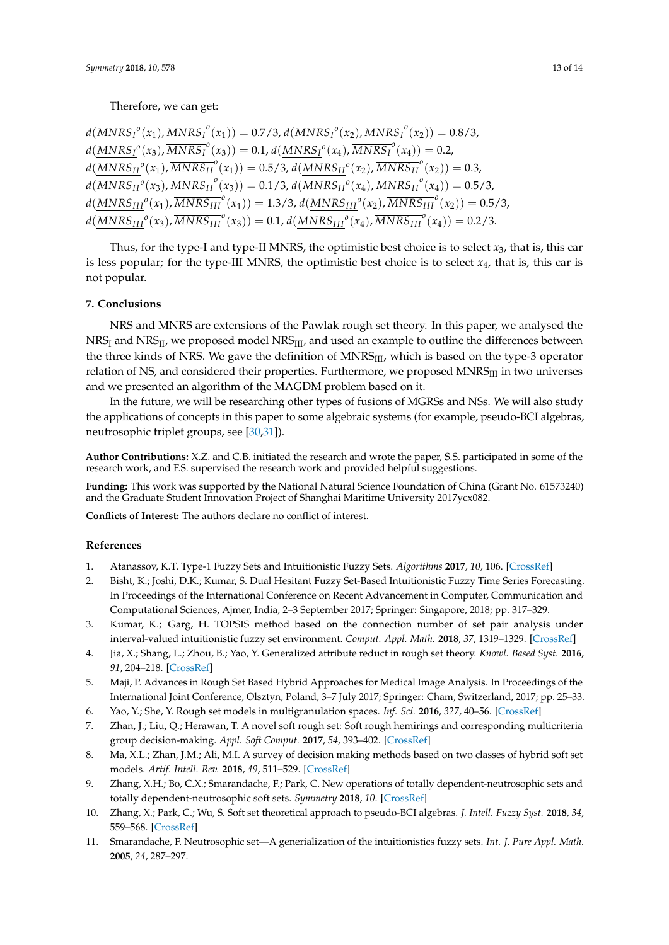$d(\underbrace{MNRS_{I}}^{o}(x_{1}),\overline{MNRS_{I}}^{o}(x_{1})) = 0.7/3, d(\underbrace{MNRS_{I}}^{o}(x_{2}),\overline{MNRS_{I}}^{o}(x_{2})) = 0.8/3,$  $d(\underbrace{MNRS_{I}}^{o}(x_{3}), \overline{MNRS_{I}}^{o}(x_{3})) = 0.1, d(\underbrace{MNRS_{I}}^{o}(x_{4}), \overline{MNRS_{I}}^{o}(x_{4})) = 0.2,$  $d(MNRS_{II}^o(x_1), \overline{MNRS_{II}^o}(x_1)) = 0.5/3, d(\underline{MNRS_{II}^o(x_2)}, \overline{MNRS_{II}^o}(x_2)) = 0.3,$  $d(\underbrace{MNRS_{II}}^o(x_3), \overline{MNRS_{II}}^o(x_3)) = 0.1/3, d(\underbrace{MNRS_{II}}^o(x_4), \overline{MNRS_{II}}^o(x_4)) = 0.5/3,$  $d(\underbrace{MNRS_{III}}^o(x_1), \overline{MNRS_{III}}^o(x_1)) = 1.3/3, d(\underbrace{MNRS_{III}}^o(x_2), \overline{MNRS_{III}}^o(x_2)) = 0.5/3,$  $d(\underbrace{MNRS_{III}}^o(x_3), \overline{MNRS_{III}}^o(x_3)) = 0.1, d(\underbrace{MNRS_{III}}^o(x_4), \overline{MNRS_{III}}^o(x_4)) = 0.2/3.$ 

Thus, for the type-I and type-II MNRS, the optimistic best choice is to select  $x_3$ , that is, this car is less popular; for the type-III MNRS, the optimistic best choice is to select *x*4, that is, this car is not popular.

#### <span id="page-12-7"></span>**7. Conclusions**

NRS and MNRS are extensions of the Pawlak rough set theory. In this paper, we analysed the  $NRS_I$  and  $NRS_{II}$ , we proposed model  $NRS_{III}$ , and used an example to outline the differences between the three kinds of NRS. We gave the definition of MNRS<sub>III</sub>, which is based on the type-3 operator relation of NS, and considered their properties. Furthermore, we proposed MNRS<sub>III</sub> in two universes and we presented an algorithm of the MAGDM problem based on it.

In the future, we will be researching other types of fusions of MGRSs and NSs. We will also study the applications of concepts in this paper to some algebraic systems (for example, pseudo-BCI algebras, neutrosophic triplet groups, see [\[30](#page-13-14)[,31\]](#page-13-15)).

**Author Contributions:** X.Z. and C.B. initiated the research and wrote the paper, S.S. participated in some of the research work, and F.S. supervised the research work and provided helpful suggestions.

**Funding:** This work was supported by the National Natural Science Foundation of China (Grant No. 61573240) and the Graduate Student Innovation Project of Shanghai Maritime University 2017ycx082.

**Conflicts of Interest:** The authors declare no conflict of interest.

#### **References**

- <span id="page-12-0"></span>1. Atanassov, K.T. Type-1 Fuzzy Sets and Intuitionistic Fuzzy Sets. *Algorithms* **2017**, *10*, 106. [\[CrossRef\]](http://dx.doi.org/10.3390/a10030106)
- 2. Bisht, K.; Joshi, D.K.; Kumar, S. Dual Hesitant Fuzzy Set-Based Intuitionistic Fuzzy Time Series Forecasting. In Proceedings of the International Conference on Recent Advancement in Computer, Communication and Computational Sciences, Ajmer, India, 2–3 September 2017; Springer: Singapore, 2018; pp. 317–329.
- <span id="page-12-1"></span>3. Kumar, K.; Garg, H. TOPSIS method based on the connection number of set pair analysis under interval-valued intuitionistic fuzzy set environment. *Comput. Appl. Math.* **2018**, *37*, 1319–1329. [\[CrossRef\]](http://dx.doi.org/10.1007/s40314-016-0402-0)
- <span id="page-12-2"></span>4. Jia, X.; Shang, L.; Zhou, B.; Yao, Y. Generalized attribute reduct in rough set theory. *Knowl. Based Syst.* **2016**, *91*, 204–218. [\[CrossRef\]](http://dx.doi.org/10.1016/j.knosys.2015.05.017)
- 5. Maji, P. Advances in Rough Set Based Hybrid Approaches for Medical Image Analysis. In Proceedings of the International Joint Conference, Olsztyn, Poland, 3–7 July 2017; Springer: Cham, Switzerland, 2017; pp. 25–33.
- 6. Yao, Y.; She, Y. Rough set models in multigranulation spaces. *Inf. Sci.* **2016**, *327*, 40–56. [\[CrossRef\]](http://dx.doi.org/10.1016/j.ins.2015.08.011)
- <span id="page-12-3"></span>7. Zhan, J.; Liu, Q.; Herawan, T. A novel soft rough set: Soft rough hemirings and corresponding multicriteria group decision-making. *Appl. Soft Comput.* **2017**, *54*, 393–402. [\[CrossRef\]](http://dx.doi.org/10.1016/j.asoc.2016.09.012)
- <span id="page-12-4"></span>8. Ma, X.L.; Zhan, J.M.; Ali, M.I. A survey of decision making methods based on two classes of hybrid soft set models. *Artif. Intell. Rev.* **2018**, *49*, 511–529. [\[CrossRef\]](http://dx.doi.org/10.1007/s10462-016-9534-2)
- 9. Zhang, X.H.; Bo, C.X.; Smarandache, F.; Park, C. New operations of totally dependent-neutrosophic sets and totally dependent-neutrosophic soft sets. *Symmetry* **2018**, *10*. [\[CrossRef\]](http://dx.doi.org/10.3390/sym10060187)
- <span id="page-12-5"></span>10. Zhang, X.; Park, C.; Wu, S. Soft set theoretical approach to pseudo-BCI algebras. *J. Intell. Fuzzy Syst.* **2018**, *34*, 559–568. [\[CrossRef\]](http://dx.doi.org/10.3233/JIFS-17777)
- <span id="page-12-6"></span>11. Smarandache, F. Neutrosophic set—A generialization of the intuitionistics fuzzy sets. *Int. J. Pure Appl. Math.* **2005**, *24*, 287–297.